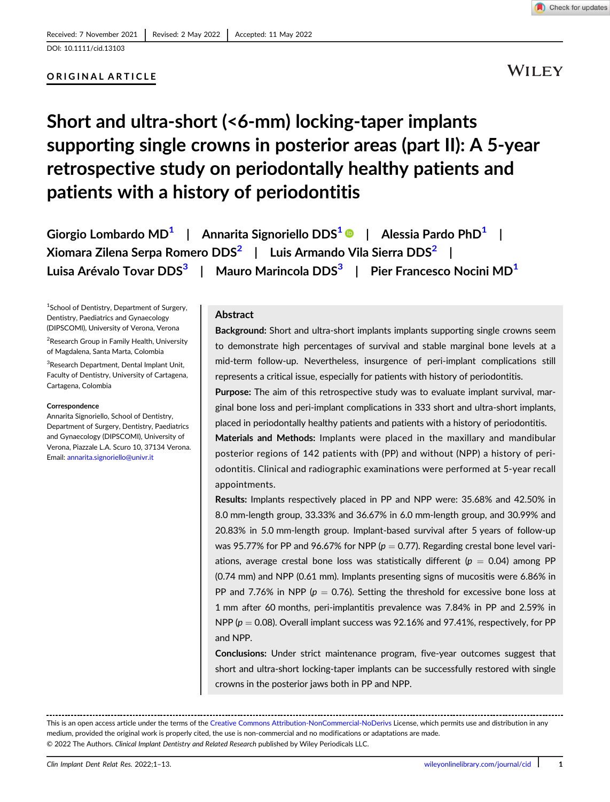DOI: 10.1111/cid.13103

### ORIGINAL ARTICLE

WILEY

# Short and ultra-short (<6-mm) locking-taper implants supporting single crowns in posterior areas (part II): A 5-year retrospective study on periodontally healthy patients and patients with a history of periodontitis

Giorgio Lombardo MD<sup>1</sup> | Annarita Signoriello DDS<sup>1</sup> | Alessia Pardo PhD<sup>1</sup> | Xiomara Zilena Serpa Romero DDS<sup>2</sup> | Luis Armando Vila Sierra DDS<sup>2</sup> | Luisa Arévalo Tovar DDS<sup>3</sup> | Mauro Marincola DDS<sup>3</sup> | Pier Francesco Nocini MD<sup>1</sup>

1 School of Dentistry, Department of Surgery, Dentistry, Paediatrics and Gynaecology (DIPSCOMI), University of Verona, Verona

<sup>2</sup>Research Group in Family Health, University of Magdalena, Santa Marta, Colombia

<sup>3</sup>Research Department, Dental Implant Unit, Faculty of Dentistry, University of Cartagena, Cartagena, Colombia

### Correspondence

Annarita Signoriello, School of Dentistry, Department of Surgery, Dentistry, Paediatrics and Gynaecology (DIPSCOMI), University of Verona, Piazzale L.A. Scuro 10, 37134 Verona. Email: [annarita.signoriello@univr.it](mailto:annarita.signoriello@univr.it)

### Abstract

Background: Short and ultra-short implants implants supporting single crowns seem to demonstrate high percentages of survival and stable marginal bone levels at a mid-term follow-up. Nevertheless, insurgence of peri-implant complications still represents a critical issue, especially for patients with history of periodontitis.

Purpose: The aim of this retrospective study was to evaluate implant survival, marginal bone loss and peri-implant complications in 333 short and ultra-short implants, placed in periodontally healthy patients and patients with a history of periodontitis.

Materials and Methods: Implants were placed in the maxillary and mandibular posterior regions of 142 patients with (PP) and without (NPP) a history of periodontitis. Clinical and radiographic examinations were performed at 5-year recall appointments.

Results: Implants respectively placed in PP and NPP were: 35.68% and 42.50% in 8.0 mm-length group, 33.33% and 36.67% in 6.0 mm-length group, and 30.99% and 20.83% in 5.0 mm-length group. Implant-based survival after 5 years of follow-up was 95.77% for PP and 96.67% for NPP ( $p = 0.77$ ). Regarding crestal bone level variations, average crestal bone loss was statistically different ( $p = 0.04$ ) among PP (0.74 mm) and NPP (0.61 mm). Implants presenting signs of mucositis were 6.86% in PP and 7.76% in NPP ( $p = 0.76$ ). Setting the threshold for excessive bone loss at 1 mm after 60 months, peri-implantitis prevalence was 7.84% in PP and 2.59% in NPP ( $p = 0.08$ ). Overall implant success was 92.16% and 97.41%, respectively, for PP and NPP.

Conclusions: Under strict maintenance program, five-year outcomes suggest that short and ultra-short locking-taper implants can be successfully restored with single crowns in the posterior jaws both in PP and NPP.

This is an open access article under the terms of the [Creative Commons Attribution-NonCommercial-NoDerivs](http://creativecommons.org/licenses/by-nc-nd/4.0/) License, which permits use and distribution in any medium, provided the original work is properly cited, the use is non-commercial and no modifications or adaptations are made. © 2022 The Authors. Clinical Implant Dentistry and Related Research published by Wiley Periodicals LLC.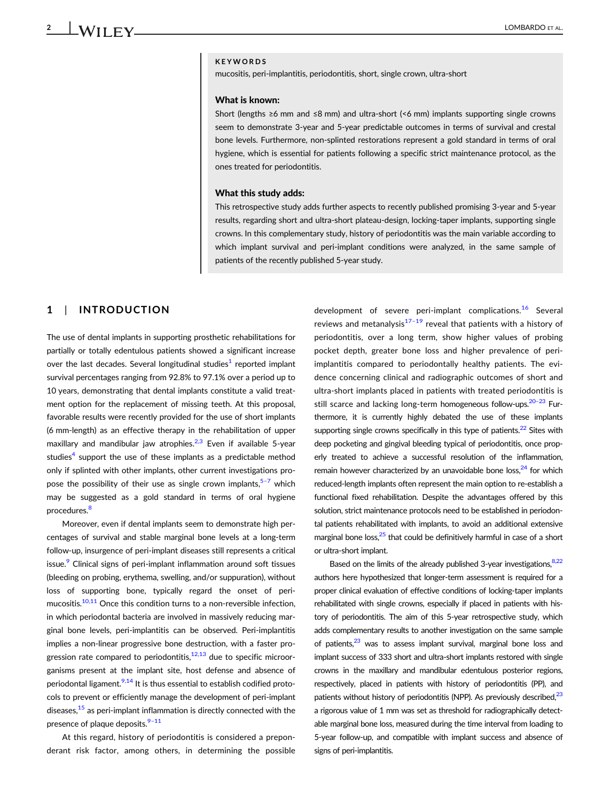### KEYWORDS

mucositis, peri-implantitis, periodontitis, short, single crown, ultra-short

#### What is known:

Short (lengths ≥6 mm and ≤8 mm) and ultra-short (<6 mm) implants supporting single crowns seem to demonstrate 3-year and 5-year predictable outcomes in terms of survival and crestal bone levels. Furthermore, non-splinted restorations represent a gold standard in terms of oral hygiene, which is essential for patients following a specific strict maintenance protocol, as the ones treated for periodontitis.

#### What this study adds:

This retrospective study adds further aspects to recently published promising 3-year and 5-year results, regarding short and ultra-short plateau-design, locking-taper implants, supporting single crowns. In this complementary study, history of periodontitis was the main variable according to which implant survival and peri-implant conditions were analyzed, in the same sample of patients of the recently published 5-year study.

### 1 | INTRODUCTION

The use of dental implants in supporting prosthetic rehabilitations for partially or totally edentulous patients showed a significant increase over the last decades. Several longitudinal studies<sup>1</sup> reported implant survival percentages ranging from 92.8% to 97.1% over a period up to 10 years, demonstrating that dental implants constitute a valid treatment option for the replacement of missing teeth. At this proposal, favorable results were recently provided for the use of short implants (6 mm-length) as an effective therapy in the rehabilitation of upper maxillary and mandibular jaw atrophies. $^{2,3}$  $^{2,3}$  $^{2,3}$  Even if available 5-year studies<sup>4</sup> support the use of these implants as a predictable method only if splinted with other implants, other current investigations propose the possibility of their use as single crown implants,  $5-7$  which may be suggested as a gold standard in terms of oral hygiene procedures.<sup>[8](#page-10-0)</sup>

Moreover, even if dental implants seem to demonstrate high percentages of survival and stable marginal bone levels at a long-term follow-up, insurgence of peri-implant diseases still represents a critical issue.<sup>[9](#page-10-0)</sup> Clinical signs of peri-implant inflammation around soft tissues (bleeding on probing, erythema, swelling, and/or suppuration), without loss of supporting bone, typically regard the onset of peri-mucositis.<sup>[10,11](#page-10-0)</sup> Once this condition turns to a non-reversible infection, in which periodontal bacteria are involved in massively reducing marginal bone levels, peri-implantitis can be observed. Peri-implantitis implies a non-linear progressive bone destruction, with a faster progression rate compared to periodontitis, $12,13$  due to specific microorganisms present at the implant site, host defense and absence of periodontal ligament.<sup>9,14</sup> It is thus essential to establish codified protocols to prevent or efficiently manage the development of peri-implant diseases, $15$  as peri-implant inflammation is directly connected with the presence of plaque deposits.<sup>9-[11](#page-10-0)</sup>

At this regard, history of periodontitis is considered a preponderant risk factor, among others, in determining the possible development of severe peri-implant complications.<sup>[16](#page-10-0)</sup> Several reviews and metanalysis $17-19$  $17-19$  reveal that patients with a history of periodontitis, over a long term, show higher values of probing pocket depth, greater bone loss and higher prevalence of periimplantitis compared to periodontally healthy patients. The evidence concerning clinical and radiographic outcomes of short and ultra-short implants placed in patients with treated periodontitis is still scarce and lacking long-term homogeneous follow-ups.<sup>20–23</sup> Furthermore, it is currently highly debated the use of these implants supporting single crowns specifically in this type of patients. $22$  Sites with deep pocketing and gingival bleeding typical of periodontitis, once properly treated to achieve a successful resolution of the inflammation, remain however characterized by an unavoidable bone  $loss<sub>24</sub>$  for which reduced-length implants often represent the main option to re-establish a functional fixed rehabilitation. Despite the advantages offered by this solution, strict maintenance protocols need to be established in periodontal patients rehabilitated with implants, to avoid an additional extensive marginal bone loss,<sup>25</sup> that could be definitively harmful in case of a short or ultra-short implant.

Based on the limits of the already published 3-year investigations,  $8,22$ authors here hypothesized that longer-term assessment is required for a proper clinical evaluation of effective conditions of locking-taper implants rehabilitated with single crowns, especially if placed in patients with history of periodontitis. The aim of this 5-year retrospective study, which adds complementary results to another investigation on the same sample of patients, $23$  was to assess implant survival, marginal bone loss and implant success of 333 short and ultra-short implants restored with single crowns in the maxillary and mandibular edentulous posterior regions, respectively, placed in patients with history of periodontitis (PP), and patients without history of periodontitis (NPP). As previously described, $^{23}$ a rigorous value of 1 mm was set as threshold for radiographically detectable marginal bone loss, measured during the time interval from loading to 5-year follow-up, and compatible with implant success and absence of signs of peri-implantitis.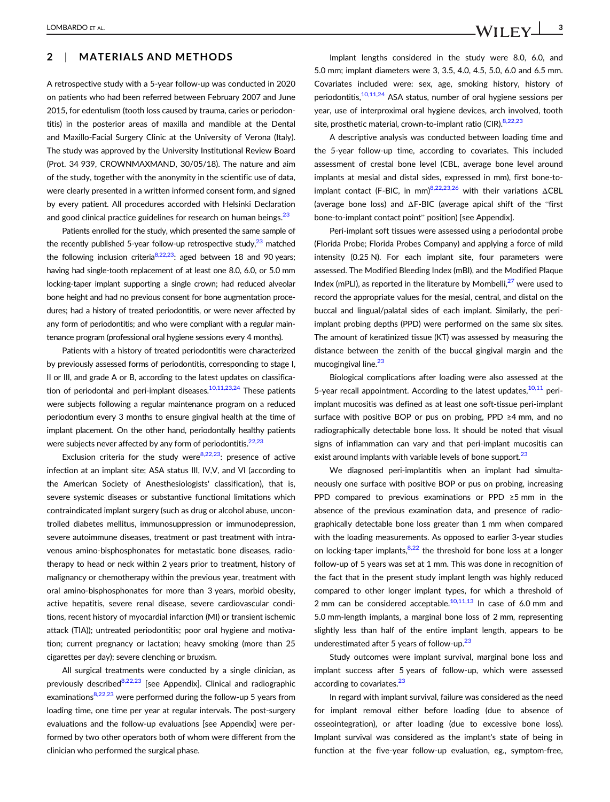### 2 | MATERIALS AND METHODS

A retrospective study with a 5-year follow-up was conducted in 2020 on patients who had been referred between February 2007 and June 2015, for edentulism (tooth loss caused by trauma, caries or periodontitis) in the posterior areas of maxilla and mandible at the Dental and Maxillo-Facial Surgery Clinic at the University of Verona (Italy). The study was approved by the University Institutional Review Board (Prot. 34 939, CROWNMAXMAND, 30/05/18). The nature and aim of the study, together with the anonymity in the scientific use of data, were clearly presented in a written informed consent form, and signed by every patient. All procedures accorded with Helsinki Declaration and good clinical practice guidelines for research on human beings.<sup>23</sup>

Patients enrolled for the study, which presented the same sample of the recently published 5-year follow-up retrospective study, $^{23}$  matched the following inclusion criteria $8,22,23$ : aged between 18 and 90 years; having had single-tooth replacement of at least one 8.0, 6.0, or 5.0 mm locking-taper implant supporting a single crown; had reduced alveolar bone height and had no previous consent for bone augmentation procedures; had a history of treated periodontitis, or were never affected by any form of periodontitis; and who were compliant with a regular maintenance program (professional oral hygiene sessions every 4 months).

Patients with a history of treated periodontitis were characterized by previously assessed forms of periodontitis, corresponding to stage I, II or III, and grade A or B, according to the latest updates on classifica-tion of periodontal and peri-implant diseases.<sup>[10,11,23,24](#page-10-0)</sup> These patients were subjects following a regular maintenance program on a reduced periodontium every 3 months to ensure gingival health at the time of implant placement. On the other hand, periodontally healthy patients were subjects never affected by any form of periodontitis. $22,23$ 

Exclusion criteria for the study were  $8,22,23$ : presence of active infection at an implant site; ASA status III, IV,V, and VI (according to the American Society of Anesthesiologists' classification), that is, severe systemic diseases or substantive functional limitations which contraindicated implant surgery (such as drug or alcohol abuse, uncontrolled diabetes mellitus, immunosuppression or immunodepression, severe autoimmune diseases, treatment or past treatment with intravenous amino-bisphosphonates for metastatic bone diseases, radiotherapy to head or neck within 2 years prior to treatment, history of malignancy or chemotherapy within the previous year, treatment with oral amino-bisphosphonates for more than 3 years, morbid obesity, active hepatitis, severe renal disease, severe cardiovascular conditions, recent history of myocardial infarction (MI) or transient ischemic attack (TIA)); untreated periodontitis; poor oral hygiene and motivation; current pregnancy or lactation; heavy smoking (more than 25 cigarettes per day); severe clenching or bruxism.

All surgical treatments were conducted by a single clinician, as previously described<sup>8,22,23</sup> [see Appendix]. Clinical and radiographic examinations<sup>8,22,23</sup> were performed during the follow-up 5 years from loading time, one time per year at regular intervals. The post-surgery evaluations and the follow-up evaluations [see Appendix] were performed by two other operators both of whom were different from the clinician who performed the surgical phase.

Implant lengths considered in the study were 8.0, 6.0, and 5.0 mm; implant diameters were 3, 3.5, 4.0, 4.5, 5.0, 6.0 and 6.5 mm. Covariates included were: sex, age, smoking history, history of periodontitis,<sup>[10,11,24](#page-10-0)</sup> ASA status, number of oral hygiene sessions per year, use of interproximal oral hygiene devices, arch involved, tooth site, prosthetic material, crown-to-implant ratio (CIR). [8,22,23](#page-10-0)

A descriptive analysis was conducted between loading time and the 5-year follow-up time, according to covariates. This included assessment of crestal bone level (CBL, average bone level around implants at mesial and distal sides, expressed in mm), first bone-toimplant contact (F-BIC, in mm)<sup>8,22,23,26</sup> with their variations  $\triangle$ CBL (average bone loss) and ΔF-BIC (average apical shift of the "first bone-to-implant contact point" position) [see Appendix].

Peri-implant soft tissues were assessed using a periodontal probe (Florida Probe; Florida Probes Company) and applying a force of mild intensity (0.25 N). For each implant site, four parameters were assessed. The Modified Bleeding Index (mBI), and the Modified Plaque Index (mPLI), as reported in the literature by Mombelli. $^{27}$  were used to record the appropriate values for the mesial, central, and distal on the buccal and lingual/palatal sides of each implant. Similarly, the periimplant probing depths (PPD) were performed on the same six sites. The amount of keratinized tissue (KT) was assessed by measuring the distance between the zenith of the buccal gingival margin and the mucogingival line.<sup>23</sup>

Biological complications after loading were also assessed at the 5-year recall appointment. According to the latest updates,  $10,11$  periimplant mucositis was defined as at least one soft-tissue peri-implant surface with positive BOP or pus on probing, PPD ≥4 mm, and no radiographically detectable bone loss. It should be noted that visual signs of inflammation can vary and that peri-implant mucositis can exist around implants with variable levels of bone support.<sup>23</sup>

We diagnosed peri-implantitis when an implant had simultaneously one surface with positive BOP or pus on probing, increasing PPD compared to previous examinations or PPD ≥5 mm in the absence of the previous examination data, and presence of radiographically detectable bone loss greater than 1 mm when compared with the loading measurements. As opposed to earlier 3-year studies on locking-taper implants, $8,22$  the threshold for bone loss at a longer follow-up of 5 years was set at 1 mm. This was done in recognition of the fact that in the present study implant length was highly reduced compared to other longer implant types, for which a threshold of 2 mm can be considered acceptable. $10,11,13$  In case of 6.0 mm and 5.0 mm-length implants, a marginal bone loss of 2 mm, representing slightly less than half of the entire implant length, appears to be underestimated after 5 years of follow-up. $23$ 

Study outcomes were implant survival, marginal bone loss and implant success after 5 years of follow-up, which were assessed according to covariates.<sup>[23](#page-11-0)</sup>

In regard with implant survival, failure was considered as the need for implant removal either before loading (due to absence of osseointegration), or after loading (due to excessive bone loss). Implant survival was considered as the implant's state of being in function at the five-year follow-up evaluation, eg., symptom-free,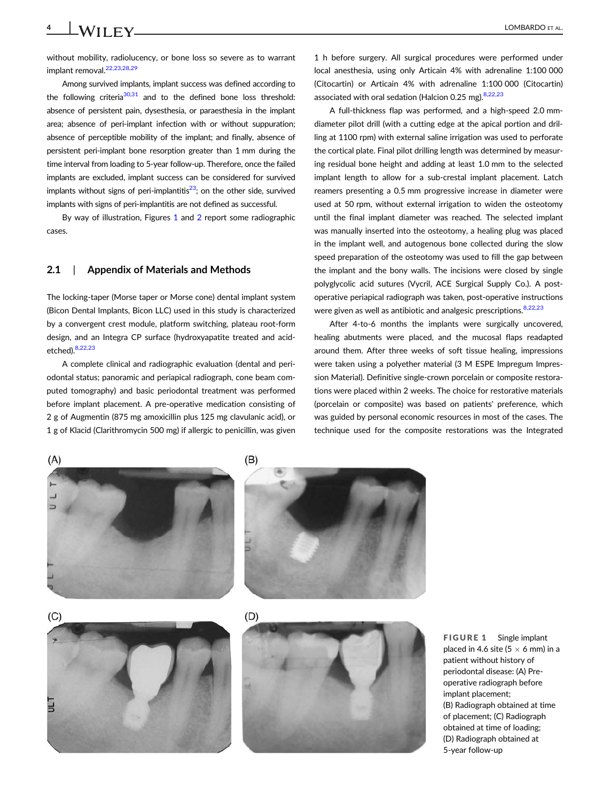without mobility, radiolucency, or bone loss so severe as to warrant implant removal.<sup>22,23,28,29</sup>

Among survived implants, implant success was defined according to the following criteria $30,31$  and to the defined bone loss threshold: absence of persistent pain, dysesthesia, or paraesthesia in the implant area; absence of peri-implant infection with or without suppuration; absence of perceptible mobility of the implant; and finally, absence of persistent peri-implant bone resorption greater than 1 mm during the time interval from loading to 5-year follow-up. Therefore, once the failed implants are excluded, implant success can be considered for survived implants without signs of peri-implantitis $^{23}$  $^{23}$  $^{23}$ ; on the other side, survived implants with signs of peri-implantitis are not defined as successful.

By way of illustration, Figures 1 and [2](#page-4-0) report some radiographic cases.

### 2.1 | Appendix of Materials and Methods

The locking-taper (Morse taper or Morse cone) dental implant system (Bicon Dental Implants, Bicon LLC) used in this study is characterized by a convergent crest module, platform switching, plateau root-form design, and an Integra CP surface (hydroxyapatite treated and acidetched)[.8,22,23](#page-10-0)

A complete clinical and radiographic evaluation (dental and periodontal status; panoramic and periapical radiograph, cone beam computed tomography) and basic periodontal treatment was performed before implant placement. A pre-operative medication consisting of 2 g of Augmentin (875 mg amoxicillin plus 125 mg clavulanic acid), or 1 g of Klacid (Clarithromycin 500 mg) if allergic to penicillin, was given

1 h before surgery. All surgical procedures were performed under local anesthesia, using only Articain 4% with adrenaline 1:100 000 (Citocartin) or Articain 4% with adrenaline 1:100 000 (Citocartin) associated with oral sedation (Halcion 0.25 mg). [8,22,23](#page-10-0)

A full-thickness flap was performed, and a high-speed 2.0 mmdiameter pilot drill (with a cutting edge at the apical portion and drilling at 1100 rpm) with external saline irrigation was used to perforate the cortical plate. Final pilot drilling length was determined by measuring residual bone height and adding at least 1.0 mm to the selected implant length to allow for a sub-crestal implant placement. Latch reamers presenting a 0.5 mm progressive increase in diameter were used at 50 rpm, without external irrigation to widen the osteotomy until the final implant diameter was reached. The selected implant was manually inserted into the osteotomy, a healing plug was placed in the implant well, and autogenous bone collected during the slow speed preparation of the osteotomy was used to fill the gap between the implant and the bony walls. The incisions were closed by single polyglycolic acid sutures (Vycril, ACE Surgical Supply Co.). A postoperative periapical radiograph was taken, post-operative instructions were given as well as antibiotic and analgesic prescriptions. [8,22,23](#page-10-0)

After 4-to-6 months the implants were surgically uncovered, healing abutments were placed, and the mucosal flaps readapted around them. After three weeks of soft tissue healing, impressions were taken using a polyether material (3 M ESPE Impregum Impression Material). Definitive single-crown porcelain or composite restorations were placed within 2 weeks. The choice for restorative materials (porcelain or composite) was based on patients' preference, which was guided by personal economic resources in most of the cases. The technique used for the composite restorations was the Integrated



FIGURE 1 Single implant placed in 4.6 site (5  $\times$  6 mm) in a patient without history of periodontal disease: (A) Preoperative radiograph before implant placement; (B) Radiograph obtained at time of placement; (C) Radiograph obtained at time of loading; (D) Radiograph obtained at 5-year follow-up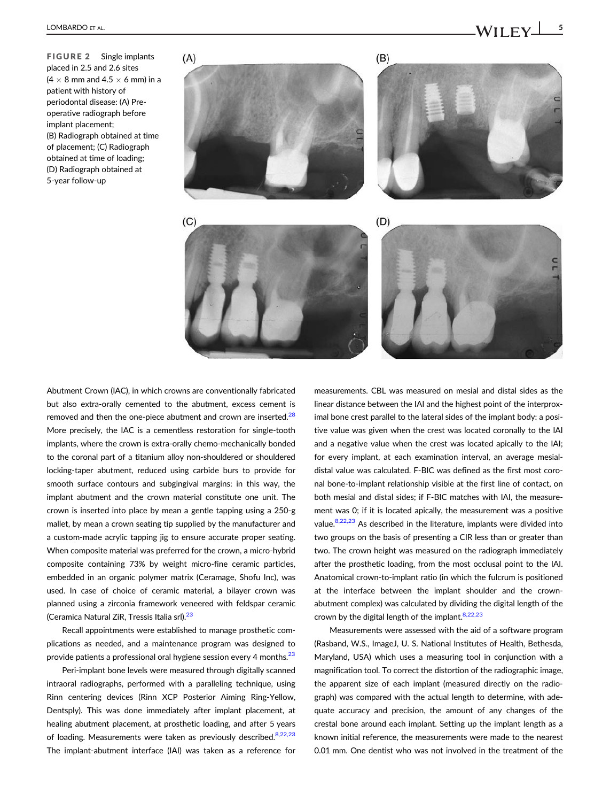<span id="page-4-0"></span>FIGURE 2 Single implants placed in 2.5 and 2.6 sites  $(4 \times 8$  mm and  $4.5 \times 6$  mm) in a patient with history of periodontal disease: (A) Preoperative radiograph before implant placement; (B) Radiograph obtained at time of placement; (C) Radiograph obtained at time of loading; (D) Radiograph obtained at 5-year follow-up

 $(A)$ 





Abutment Crown (IAC), in which crowns are conventionally fabricated but also extra-orally cemented to the abutment, excess cement is removed and then the one-piece abutment and crown are inserted.<sup>[28](#page-11-0)</sup> More precisely, the IAC is a cementless restoration for single-tooth implants, where the crown is extra-orally chemo-mechanically bonded to the coronal part of a titanium alloy non-shouldered or shouldered locking-taper abutment, reduced using carbide burs to provide for smooth surface contours and subgingival margins: in this way, the implant abutment and the crown material constitute one unit. The crown is inserted into place by mean a gentle tapping using a 250-g mallet, by mean a crown seating tip supplied by the manufacturer and a custom-made acrylic tapping jig to ensure accurate proper seating. When composite material was preferred for the crown, a micro-hybrid composite containing 73% by weight micro-fine ceramic particles, embedded in an organic polymer matrix (Ceramage, Shofu Inc), was used. In case of choice of ceramic material, a bilayer crown was planned using a zirconia framework veneered with feldspar ceramic (Ceramica Natural ZiR, Tressis Italia srl).<sup>[23](#page-11-0)</sup>

Recall appointments were established to manage prosthetic complications as needed, and a maintenance program was designed to provide patients a professional oral hygiene session every 4 months.<sup>23</sup>

Peri-implant bone levels were measured through digitally scanned intraoral radiographs, performed with a paralleling technique, using Rinn centering devices (Rinn XCP Posterior Aiming Ring-Yellow, Dentsply). This was done immediately after implant placement, at healing abutment placement, at prosthetic loading, and after 5 years of loading. Measurements were taken as previously described.<sup>[8,22,23](#page-10-0)</sup> The implant-abutment interface (IAI) was taken as a reference for

measurements. CBL was measured on mesial and distal sides as the linear distance between the IAI and the highest point of the interproximal bone crest parallel to the lateral sides of the implant body: a positive value was given when the crest was located coronally to the IAI and a negative value when the crest was located apically to the IAI; for every implant, at each examination interval, an average mesialdistal value was calculated. F-BIC was defined as the first most coronal bone-to-implant relationship visible at the first line of contact, on both mesial and distal sides; if F-BIC matches with IAI, the measurement was 0; if it is located apically, the measurement was a positive value[.8,22,23](#page-10-0) As described in the literature, implants were divided into two groups on the basis of presenting a CIR less than or greater than two. The crown height was measured on the radiograph immediately after the prosthetic loading, from the most occlusal point to the IAI. Anatomical crown-to-implant ratio (in which the fulcrum is positioned at the interface between the implant shoulder and the crownabutment complex) was calculated by dividing the digital length of the crown by the digital length of the implant.  $8,22,23$ 

Measurements were assessed with the aid of a software program (Rasband, W.S., ImageJ, U. S. National Institutes of Health, Bethesda, Maryland, USA) which uses a measuring tool in conjunction with a magnification tool. To correct the distortion of the radiographic image, the apparent size of each implant (measured directly on the radiograph) was compared with the actual length to determine, with adequate accuracy and precision, the amount of any changes of the crestal bone around each implant. Setting up the implant length as a known initial reference, the measurements were made to the nearest 0.01 mm. One dentist who was not involved in the treatment of the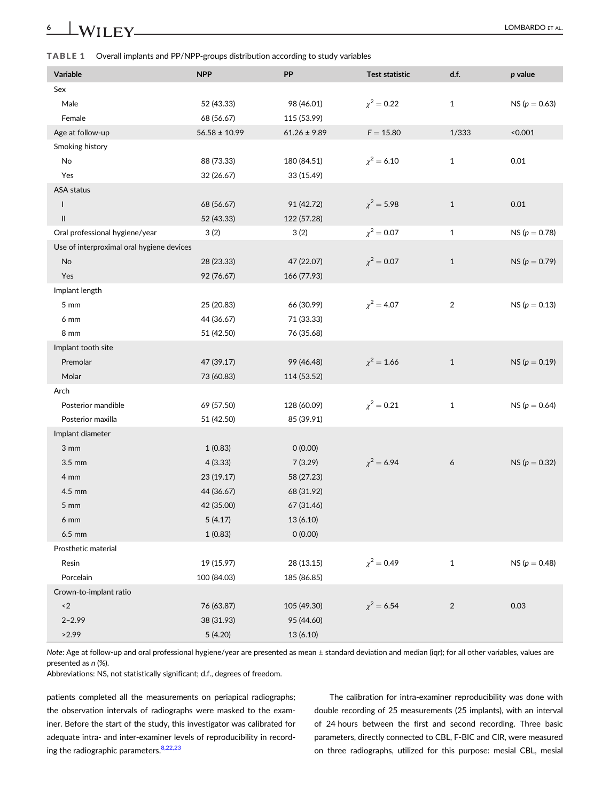<span id="page-5-0"></span>TABLE 1 Overall implants and PP/NPP-groups distribution according to study variables

| Variable                                  | <b>NPP</b>        | PP               | <b>Test statistic</b> | d.f.           | p value           |
|-------------------------------------------|-------------------|------------------|-----------------------|----------------|-------------------|
| Sex                                       |                   |                  |                       |                |                   |
| Male                                      | 52 (43.33)        | 98 (46.01)       | $\chi^2 = 0.22$       | $\mathbf{1}$   | $NS (p = 0.63)$   |
| Female                                    | 68 (56.67)        | 115 (53.99)      |                       |                |                   |
| Age at follow-up                          | $56.58 \pm 10.99$ | $61.26 \pm 9.89$ | $\mathsf{F}=15.80$    | 1/333          | < 0.001           |
| Smoking history                           |                   |                  |                       |                |                   |
| No                                        | 88 (73.33)        | 180 (84.51)      | $\chi^2 = 6.10$       | $\mathbf{1}$   | 0.01              |
| Yes                                       | 32 (26.67)        | 33 (15.49)       |                       |                |                   |
| ASA status                                |                   |                  |                       |                |                   |
| ı                                         | 68 (56.67)        | 91 (42.72)       | $\chi^2 = 5.98$       | $\mathbf{1}$   | 0.01              |
| Ш                                         | 52 (43.33)        | 122 (57.28)      |                       |                |                   |
| Oral professional hygiene/year            | 3(2)              | 3(2)             | $\chi^2 = 0.07$       | $\mathbf{1}$   | NS ( $p = 0.78$ ) |
| Use of interproximal oral hygiene devices |                   |                  |                       |                |                   |
| No                                        | 28 (23.33)        | 47 (22.07)       | $\chi^2 = 0.07$       | $\mathbf{1}$   | NS ( $p = 0.79$ ) |
| Yes                                       | 92 (76.67)        | 166 (77.93)      |                       |                |                   |
| Implant length                            |                   |                  |                       |                |                   |
| 5 mm                                      | 25 (20.83)        | 66 (30.99)       | $\chi^2 = 4.07$       | $\sqrt{2}$     | NS ( $p = 0.13$ ) |
| 6 mm                                      | 44 (36.67)        | 71 (33.33)       |                       |                |                   |
| 8 mm                                      | 51 (42.50)        | 76 (35.68)       |                       |                |                   |
| Implant tooth site                        |                   |                  |                       |                |                   |
| Premolar                                  | 47 (39.17)        | 99 (46.48)       | $\chi^2 = 1.66$       | $1\,$          | NS ( $p = 0.19$ ) |
| Molar                                     | 73 (60.83)        | 114 (53.52)      |                       |                |                   |
| Arch                                      |                   |                  |                       |                |                   |
| Posterior mandible                        | 69 (57.50)        | 128 (60.09)      | $\chi^2 = 0.21$       | $\mathbf{1}$   | NS ( $p = 0.64$ ) |
| Posterior maxilla                         | 51 (42.50)        | 85 (39.91)       |                       |                |                   |
| Implant diameter                          |                   |                  |                       |                |                   |
| 3 mm                                      | 1(0.83)           | 0(0.00)          |                       |                |                   |
| 3.5 mm                                    | 4(3.33)           | 7(3.29)          | $\chi^2$ = 6.94       | 6              | NS ( $p = 0.32$ ) |
| 4 mm                                      | 23 (19.17)        | 58 (27.23)       |                       |                |                   |
| 4.5 mm                                    | 44 (36.67)        | 68 (31.92)       |                       |                |                   |
| $5 \, \text{mm}$                          | 42 (35.00)        | 67 (31.46)       |                       |                |                   |
| 6 mm                                      | 5(4.17)           | 13 (6.10)        |                       |                |                   |
| 6.5 mm                                    | 1(0.83)           | 0(0.00)          |                       |                |                   |
| Prosthetic material                       |                   |                  |                       |                |                   |
| Resin                                     | 19 (15.97)        | 28 (13.15)       | $\chi^2 = 0.49$       | $\mathbf{1}$   | NS ( $p = 0.48$ ) |
| Porcelain                                 | 100 (84.03)       | 185 (86.85)      |                       |                |                   |
| Crown-to-implant ratio                    |                   |                  |                       |                |                   |
| $\langle 2 \rangle$                       | 76 (63.87)        | 105 (49.30)      | $\chi^2 = 6.54$       | $\overline{2}$ | 0.03              |
| $2 - 2.99$                                | 38 (31.93)        | 95 (44.60)       |                       |                |                   |
| >2.99                                     | 5(4.20)           | 13 (6.10)        |                       |                |                   |
|                                           |                   |                  |                       |                |                   |

Note: Age at follow-up and oral professional hygiene/year are presented as mean ± standard deviation and median (iqr); for all other variables, values are presented as n (%).

Abbreviations: NS, not statistically significant; d.f., degrees of freedom.

patients completed all the measurements on periapical radiographs; the observation intervals of radiographs were masked to the examiner. Before the start of the study, this investigator was calibrated for adequate intra- and inter-examiner levels of reproducibility in record-ing the radiographic parameters.<sup>[8,22,23](#page-10-0)</sup>

The calibration for intra-examiner reproducibility was done with double recording of 25 measurements (25 implants), with an interval of 24 hours between the first and second recording. Three basic parameters, directly connected to CBL, F-BIC and CIR, were measured on three radiographs, utilized for this purpose: mesial CBL, mesial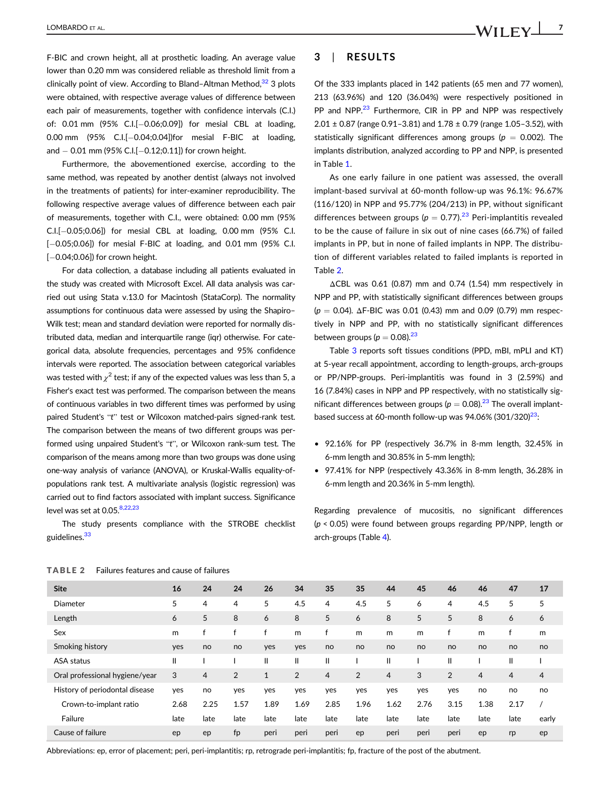F-BIC and crown height, all at prosthetic loading. An average value lower than 0.20 mm was considered reliable as threshold limit from a clinically point of view. According to Bland–Altman Method. $32$  3 plots were obtained, with respective average values of difference between each pair of measurements, together with confidence intervals (C.I.) of:  $0.01$  mm  $(95\%$  C.I. $[-0.06;0.09]$ ) for mesial CBL at loading, 0.00 mm (95% C.I.[-0.04;0.04])for mesial F-BIC at loading, and  $-0.01$  mm (95% C.I.[ $-0.12;0.11$ ]) for crown height.

Furthermore, the abovementioned exercise, according to the same method, was repeated by another dentist (always not involved in the treatments of patients) for inter-examiner reproducibility. The following respective average values of difference between each pair of measurements, together with C.I., were obtained: 0.00 mm (95%  $C.I.[-0.05;0.06])$  for mesial CBL at loading, 0.00 mm (95% C.I. [-0.05;0.06]) for mesial F-BIC at loading, and 0.01 mm (95% C.I.  $[-0.04;0.06]$ ) for crown height.

For data collection, a database including all patients evaluated in the study was created with Microsoft Excel. All data analysis was carried out using Stata v.13.0 for Macintosh (StataCorp). The normality assumptions for continuous data were assessed by using the Shapiro– Wilk test; mean and standard deviation were reported for normally distributed data, median and interquartile range (iqr) otherwise. For categorical data, absolute frequencies, percentages and 95% confidence intervals were reported. The association between categorical variables was tested with  $\chi^2$  test; if any of the expected values was less than 5, a Fisher's exact test was performed. The comparison between the means of continuous variables in two different times was performed by using paired Student's "t" test or Wilcoxon matched-pairs signed-rank test. The comparison between the means of two different groups was performed using unpaired Student's "t", or Wilcoxon rank-sum test. The comparison of the means among more than two groups was done using one-way analysis of variance (ANOVA), or Kruskal-Wallis equality-ofpopulations rank test. A multivariate analysis (logistic regression) was carried out to find factors associated with implant success. Significance level was set at  $0.05$ .<sup>[8,22,23](#page-10-0)</sup>

The study presents compliance with the STROBE checklist guidelines.<sup>33</sup>

### 3 | RESULTS

Of the 333 implants placed in 142 patients (65 men and 77 women), 213 (63.96%) and 120 (36.04%) were respectively positioned in PP and NPP.<sup>23</sup> Furthermore, CIR in PP and NPP was respectively  $2.01 \pm 0.87$  (range 0.91-3.81) and  $1.78 \pm 0.79$  (range 1.05-3.52), with statistically significant differences among groups ( $p = 0.002$ ). The implants distribution, analyzed according to PP and NPP, is presented in Table [1.](#page-5-0)

As one early failure in one patient was assessed, the overall implant-based survival at 60-month follow-up was 96.1%: 96.67% (116/120) in NPP and 95.77% (204/213) in PP, without significant differences between groups ( $p = 0.77$ ).<sup>[23](#page-11-0)</sup> Peri-implantitis revealed to be the cause of failure in six out of nine cases (66.7%) of failed implants in PP, but in none of failed implants in NPP. The distribution of different variables related to failed implants is reported in Table 2.

ΔCBL was 0.61 (0.87) mm and 0.74 (1.54) mm respectively in NPP and PP, with statistically significant differences between groups  $(p = 0.04)$ . ΔF-BIC was 0.01 (0.43) mm and 0.09 (0.79) mm respectively in NPP and PP, with no statistically significant differences between groups ( $p = 0.08$ ).<sup>[23](#page-11-0)</sup>

Table [3](#page-7-0) reports soft tissues conditions (PPD, mBI, mPLI and KT) at 5-year recall appointment, according to length-groups, arch-groups or PP/NPP-groups. Peri-implantitis was found in 3 (2.59%) and 16 (7.84%) cases in NPP and PP respectively, with no statistically significant differences between groups ( $p = 0.08$ ).<sup>[23](#page-11-0)</sup> The overall implantbased success at 60-month follow-up was  $94.06\%$  (301/320)<sup>23</sup>:

- 92.16% for PP (respectively 36.7% in 8-mm length, 32.45% in 6-mm length and 30.85% in 5-mm length);
- 97.41% for NPP (respectively 43.36% in 8-mm length, 36.28% in 6-mm length and 20.36% in 5-mm length).

Regarding prevalence of mucositis, no significant differences (p < 0.05) were found between groups regarding PP/NPP, length or arch-groups (Table [4\)](#page-8-0).

| <b>Site</b>                    | 16           | 24   | 24             | 26           | 34             | 35             | 35             | 44             | 45   | 46             | 46             | 47             | 17             |  |
|--------------------------------|--------------|------|----------------|--------------|----------------|----------------|----------------|----------------|------|----------------|----------------|----------------|----------------|--|
| Diameter                       | 5            | 4    | 4              | 5            | 4.5            | 4              | 4.5            | 5              | 6    | $\overline{4}$ | 4.5            | 5              | 5              |  |
| Length                         | 6            | 5    | 8              | 6            | 8              | 5              | 6              | 8              | 5    | 5              | 8              | 6              | 6              |  |
| Sex                            | m            |      |                | f            | m              | f              | m              | m              | m    | f              | m              |                | m              |  |
| Smoking history                | yes          | no   | no             | yes          | yes            | no             | no             | no             | no   | no             | no             | no             | no             |  |
| ASA status                     | $\mathbf{I}$ |      |                | Ш            | Ш              | Ш              |                | Ш              |      | $\mathsf{I}$   |                | Ш              |                |  |
| Oral professional hygiene/year | 3            | 4    | $\overline{2}$ | $\mathbf{1}$ | $\overline{2}$ | $\overline{4}$ | $\overline{2}$ | $\overline{4}$ | 3    | $\overline{2}$ | $\overline{4}$ | $\overline{4}$ | $\overline{4}$ |  |
| History of periodontal disease | yes          | no   | yes            | yes          | yes            | yes            | yes            | yes            | yes  | yes            | no             | no             | no             |  |
| Crown-to-implant ratio         | 2.68         | 2.25 | 1.57           | 1.89         | 1.69           | 2.85           | 1.96           | 1.62           | 2.76 | 3.15           | 1.38           | 2.17           |                |  |
| Failure                        | late         | late | late           | late         | late           | late           | late           | late           | late | late           | late           | late           | early          |  |
| Cause of failure               | ep           | ep   | fp             | peri         | peri           | peri           | ep             | peri           | peri | peri           | ep             | rp             | ep             |  |

#### TABLE 2 Failures features and cause of failures

Abbreviations: ep, error of placement; peri, peri-implantitis; rp, retrograde peri-implantitis; fp, fracture of the post of the abutment.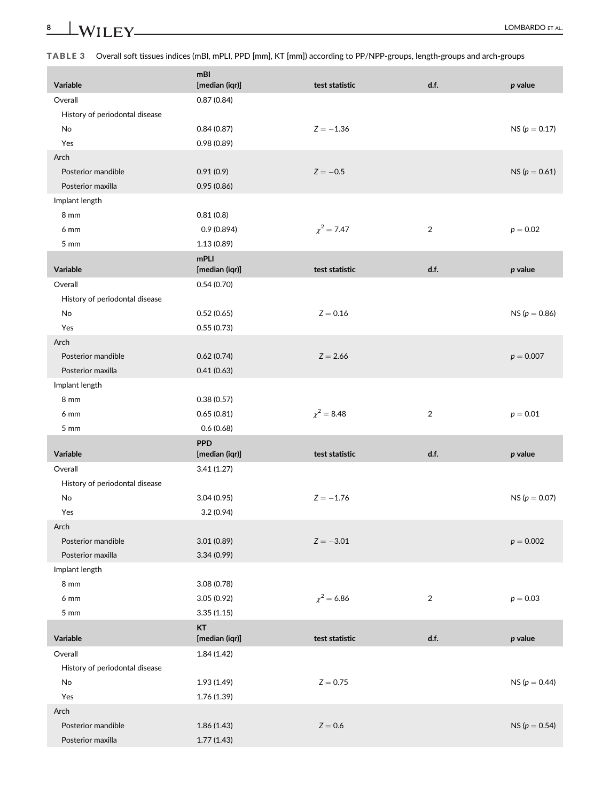### TABLE 3 Overall soft tissues indices (mBI, mPLI, PPD [mm], KT [mm]) according to PP/NPP-groups, length-groups and arch-groups

| Variable                       | mBI<br>[median (iqr)] | test statistic  | d.f.           | $p$ value         |
|--------------------------------|-----------------------|-----------------|----------------|-------------------|
| Overall                        | 0.87(0.84)            |                 |                |                   |
| History of periodontal disease |                       |                 |                |                   |
| No                             | 0.84(0.87)            | $Z = -1.36$     |                | NS ( $p = 0.17$ ) |
| Yes                            | 0.98(0.89)            |                 |                |                   |
| Arch                           |                       |                 |                |                   |
| Posterior mandible             | 0.91(0.9)             | $Z = -0.5$      |                | $NS (p = 0.61)$   |
| Posterior maxilla              | 0.95(0.86)            |                 |                |                   |
| Implant length                 |                       |                 |                |                   |
| 8 mm                           | 0.81(0.8)             |                 |                |                   |
| 6 mm                           | 0.9(0.894)            | $\chi^2 = 7.47$ | $\overline{2}$ | $p = 0.02$        |
| 5 <sub>mm</sub>                | 1.13(0.89)            |                 |                |                   |
|                                | mPLI                  |                 |                |                   |
| Variable                       | [median (iqr)]        | test statistic  | d.f.           | p value           |
| Overall                        | 0.54(0.70)            |                 |                |                   |
| History of periodontal disease |                       |                 |                |                   |
| No                             | 0.52(0.65)            | $Z = 0.16$      |                | NS ( $p = 0.86$ ) |
| Yes                            | 0.55(0.73)            |                 |                |                   |
| Arch                           |                       |                 |                |                   |
| Posterior mandible             | 0.62(0.74)            | $Z = 2.66$      |                | $p = 0.007$       |
| Posterior maxilla              | 0.41(0.63)            |                 |                |                   |
| Implant length                 |                       |                 |                |                   |
| 8 mm                           | 0.38(0.57)            |                 |                |                   |
| 6 mm                           | 0.65(0.81)            | $\chi^2 = 8.48$ | $\overline{2}$ | $p = 0.01$        |
| 5 <sub>mm</sub>                | 0.6(0.68)             |                 |                |                   |
|                                | <b>PPD</b>            |                 |                |                   |
| Variable                       | [median (iqr)]        | test statistic  | d.f.           | p value           |
| Overall                        | 3.41(1.27)            |                 |                |                   |
| History of periodontal disease |                       |                 |                |                   |
| No                             | 3.04(0.95)            | $Z = -1.76$     |                | NS ( $p = 0.07$ ) |
| Yes                            | 3.2(0.94)             |                 |                |                   |
| Arch                           |                       |                 |                |                   |
| Posterior mandible             | 3.01(0.89)            | $Z = -3.01$     |                | $p = 0.002$       |
| Posterior maxilla              | 3.34(0.99)            |                 |                |                   |
| Implant length                 |                       |                 |                |                   |
| 8 mm                           | 3.08(0.78)            |                 |                |                   |
| 6 mm                           | 3.05(0.92)            | $\chi^2$ = 6.86 | $\overline{a}$ | $p = 0.03$        |
| 5 <sub>mm</sub>                | 3.35(1.15)            |                 |                |                   |
|                                | KT                    |                 |                |                   |
| Variable                       | [median (iqr)]        | test statistic  | d.f.           | $p$ value         |
| Overall                        | 1.84(1.42)            |                 |                |                   |
| History of periodontal disease |                       |                 |                |                   |
| No                             | 1.93(1.49)            | $Z = 0.75$      |                | NS ( $p = 0.44$ ) |
| Yes                            | 1.76 (1.39)           |                 |                |                   |
| Arch                           |                       |                 |                |                   |
| Posterior mandible             | 1.86(1.43)            | $Z = 0.6$       |                | NS ( $p = 0.54$ ) |
| Posterior maxilla              | 1.77(1.43)            |                 |                |                   |

<span id="page-7-0"></span>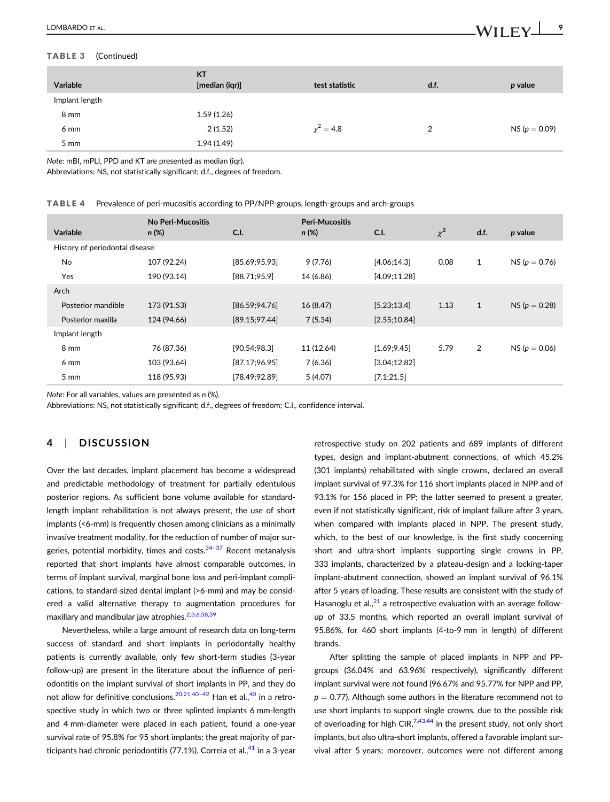### <span id="page-8-0"></span>TABLE 3 (Continued)

| <b>Variable</b> | <b>KT</b><br>[median (igr)] | test statistic | d.f.          | p value           |
|-----------------|-----------------------------|----------------|---------------|-------------------|
| Implant length  |                             |                |               |                   |
| 8 mm            | 1.59(1.26)                  |                |               |                   |
| 6 mm            | 2(1.52)                     | $\chi^2 = 4.8$ | $\mathcal{D}$ | NS ( $p = 0.09$ ) |
| $5 \text{ mm}$  | 1.94(1.49)                  |                |               |                   |

Note: mBI, mPLI, PPD and KT are presented as median (iqr).

Abbreviations: NS, not statistically significant; d.f., degrees of freedom.

|  |  |  | TABLE 4 Prevalence of peri-mucositis according to PP/NPP-groups, length-groups and arch-groups |  |  |  |
|--|--|--|------------------------------------------------------------------------------------------------|--|--|--|
|--|--|--|------------------------------------------------------------------------------------------------|--|--|--|

| Variable                       | No Peri-Mucositis<br>$n (\%)$ | C.I.           | <b>Peri-Mucositis</b><br>$n (\%)$ | $C1$ .        | $\chi^2$ | d.f.         | p value           |
|--------------------------------|-------------------------------|----------------|-----------------------------------|---------------|----------|--------------|-------------------|
| History of periodontal disease |                               |                |                                   |               |          |              |                   |
| No                             | 107 (92.24)                   | [85.69; 95.93] | 9(7.76)                           | [4.06; 14.3]  | 0.08     | $\mathbf{1}$ | NS ( $p = 0.76$ ) |
| Yes                            | 190 (93.14)                   | [88.71;95.9]   | 14 (6.86)                         | [4.09; 11.28] |          |              |                   |
| Arch                           |                               |                |                                   |               |          |              |                   |
| Posterior mandible             | 173 (91.53)                   | [86.59; 94.76] | 16 (8.47)                         | [5.23; 13.4]  | 1.13     | $\mathbf{1}$ | $NS (p = 0.28)$   |
| Posterior maxilla              | 124 (94.66)                   | [89.15; 97.44] | 7(5.34)                           | [2.55;10.84]  |          |              |                   |
| Implant length                 |                               |                |                                   |               |          |              |                   |
| 8 mm                           | 76 (87.36)                    | [90.54;98.3]   | 11 (12.64)                        | [1.69; 9.45]  | 5.79     | 2            | $NS (p = 0.06)$   |
| $6 \text{ mm}$                 | 103 (93.64)                   | [87.17;96.95]  | 7(6.36)                           | [3.04; 12.82] |          |              |                   |
| $5 \text{ mm}$                 | 118 (95.93)                   | [78.49; 92.89] | 5(4.07)                           | [7.1;21.5]    |          |              |                   |

Note: For all variables, values are presented as n (%).

Abbreviations: NS, not statistically significant; d.f., degrees of freedom; C.I., confidence interval.

### 4 | DISCUSSION

Over the last decades, implant placement has become a widespread and predictable methodology of treatment for partially edentulous posterior regions. As sufficient bone volume available for standardlength implant rehabilitation is not always present, the use of short implants (<6-mm) is frequently chosen among clinicians as a minimally invasive treatment modality, for the reduction of number of major surgeries, potential morbidity, times and costs.<sup>34-37</sup> Recent metanalysis reported that short implants have almost comparable outcomes, in terms of implant survival, marginal bone loss and peri-implant complications, to standard-sized dental implant (>6-mm) and may be considered a valid alternative therapy to augmentation procedures for maxillary and mandibular jaw atrophies.<sup>2,3,6,38,39</sup>

Nevertheless, while a large amount of research data on long-term success of standard and short implants in periodontally healthy patients is currently available, only few short-term studies (3-year follow-up) are present in the literature about the influence of periodontitis on the implant survival of short implants in PP, and they do not allow for definitive conclusions.<sup>[20,21,40](#page-11-0)-42</sup> Han et al.,<sup>40</sup> in a retrospective study in which two or three splinted implants 6 mm-length and 4 mm-diameter were placed in each patient, found a one-year survival rate of 95.8% for 95 short implants; the great majority of participants had chronic periodontitis  $(77.1\%)$ . Correia et al., $41$  in a 3-year retrospective study on 202 patients and 689 implants of different types, design and implant-abutment connections, of which 45.2% (301 implants) rehabilitated with single crowns, declared an overall implant survival of 97.3% for 116 short implants placed in NPP and of 93.1% for 156 placed in PP; the latter seemed to present a greater, even if not statistically significant, risk of implant failure after 3 years, when compared with implants placed in NPP. The present study, which, to the best of our knowledge, is the first study concerning short and ultra-short implants supporting single crowns in PP, 333 implants, characterized by a plateau-design and a locking-taper implant-abutment connection, showed an implant survival of 96.1% after 5 years of loading. These results are consistent with the study of Hasanoglu et al., $^{21}$  $^{21}$  $^{21}$  a retrospective evaluation with an average followup of 33.5 months, which reported an overall implant survival of 95.86%, for 460 short implants (4-to-9 mm in length) of different brands.

After splitting the sample of placed implants in NPP and PPgroups (36.04% and 63.96% respectively), significantly different implant survival were not found (96.67% and 95.77% for NPP and PP,  $p = 0.77$ ). Although some authors in the literature recommend not to use short implants to support single crowns, due to the possible risk of overloading for high CIR,  $7,43,44$  in the present study, not only short implants, but also ultra-short implants, offered a favorable implant survival after 5 years; moreover, outcomes were not different among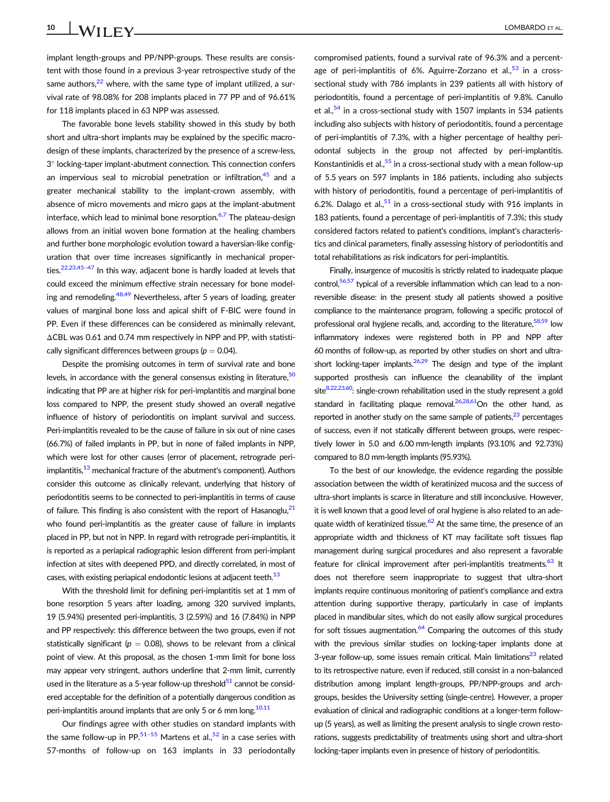implant length-groups and PP/NPP-groups. These results are consistent with those found in a previous 3-year retrospective study of the same authors, $22$  where, with the same type of implant utilized, a survival rate of 98.08% for 208 implants placed in 77 PP and of 96.61% for 118 implants placed in 63 NPP was assessed.

The favorable bone levels stability showed in this study by both short and ultra-short implants may be explained by the specific macrodesign of these implants, characterized by the presence of a screw-less, 3° locking-taper implant-abutment connection. This connection confers an impervious seal to microbial penetration or infiltration, $45$  and a greater mechanical stability to the implant-crown assembly, with absence of micro movements and micro gaps at the implant-abutment interface, which lead to minimal bone resorption. $6,7$  The plateau-design allows from an initial woven bone formation at the healing chambers and further bone morphologic evolution toward a haversian-like configuration that over time increases significantly in mechanical properties.<sup>22,23,45-47</sup> In this way, adjacent bone is hardly loaded at levels that could exceed the minimum effective strain necessary for bone modeling and remodeling.<sup>48,49</sup> Nevertheless, after 5 years of loading, greater values of marginal bone loss and apical shift of F-BIC were found in PP. Even if these differences can be considered as minimally relevant, ΔCBL was 0.61 and 0.74 mm respectively in NPP and PP, with statistically significant differences between groups ( $p = 0.04$ ).

Despite the promising outcomes in term of survival rate and bone levels, in accordance with the general consensus existing in literature,  $50$ indicating that PP are at higher risk for peri-implantitis and marginal bone loss compared to NPP, the present study showed an overall negative influence of history of periodontitis on implant survival and success. Peri-implantitis revealed to be the cause of failure in six out of nine cases (66.7%) of failed implants in PP, but in none of failed implants in NPP, which were lost for other causes (error of placement, retrograde periimplantitis,<sup>13</sup> mechanical fracture of the abutment's component). Authors consider this outcome as clinically relevant, underlying that history of periodontitis seems to be connected to peri-implantitis in terms of cause of failure. This finding is also consistent with the report of Hasanoglu, $^{21}$  $^{21}$  $^{21}$ who found peri-implantitis as the greater cause of failure in implants placed in PP, but not in NPP. In regard with retrograde peri-implantitis, it is reported as a periapical radiographic lesion different from peri-implant infection at sites with deepened PPD, and directly correlated, in most of cases, with existing periapical endodontic lesions at adjacent teeth.<sup>[13](#page-10-0)</sup>

With the threshold limit for defining peri-implantitis set at 1 mm of bone resorption 5 years after loading, among 320 survived implants, 19 (5.94%) presented peri-implantitis, 3 (2.59%) and 16 (7.84%) in NPP and PP respectively: this difference between the two groups, even if not statistically significant ( $p = 0.08$ ), shows to be relevant from a clinical point of view. At this proposal, as the chosen 1-mm limit for bone loss may appear very stringent, authors underline that 2-mm limit, currently used in the literature as a 5-year follow-up threshold $51$  cannot be considered acceptable for the definition of a potentially dangerous condition as peri-implantitis around implants that are only 5 or 6 mm long.<sup>[10,11](#page-10-0)</sup>

Our findings agree with other studies on standard implants with the same follow-up in PP.<sup>[51](#page-11-0)–55</sup> Martens et al.,<sup>[52](#page-12-0)</sup> in a case series with 57-months of follow-up on 163 implants in 33 periodontally compromised patients, found a survival rate of 96.3% and a percentage of peri-implantitis of 6%. Aguirre-Zorzano et al. $53$  in a crosssectional study with 786 implants in 239 patients all with history of periodontitis, found a percentage of peri-implantitis of 9.8%. Canullo et al.,  $54$  in a cross-sectional study with 1507 implants in 534 patients including also subjects with history of periodontitis, found a percentage of peri-implantitis of 7.3%, with a higher percentage of healthy periodontal subjects in the group not affected by peri-implantitis. Konstantinidis et al., $55$  in a cross-sectional study with a mean follow-up of 5.5 years on 597 implants in 186 patients, including also subjects with history of periodontitis, found a percentage of peri-implantitis of 6.2%. Dalago et al.<sup>51</sup> in a cross-sectional study with 916 implants in 183 patients, found a percentage of peri-implantitis of 7.3%; this study considered factors related to patient's conditions, implant's characteristics and clinical parameters, finally assessing history of periodontitis and total rehabilitations as risk indicators for peri-implantitis.

Finally, insurgence of mucositis is strictly related to inadequate plaque control,<sup>56,57</sup> typical of a reversible inflammation which can lead to a nonreversible disease: in the present study all patients showed a positive compliance to the maintenance program, following a specific protocol of professional oral hygiene recalls, and, according to the literature,  $58,59$  low inflammatory indexes were registered both in PP and NPP after 60 months of follow-up, as reported by other studies on short and ultrashort locking-taper implants. $26,29$  The design and type of the implant supported prosthesis can influence the cleanability of the implant site $8,22,23,60$ : single-crown rehabilitation used in the study represent a gold standard in facilitating plaque removal.  $26,28,61$ On the other hand, as reported in another study on the same sample of patients, $23$  percentages of success, even if not statically different between groups, were respectively lower in 5.0 and 6.00 mm-length implants (93.10% and 92.73%) compared to 8.0 mm-length implants (95.93%).

To the best of our knowledge, the evidence regarding the possible association between the width of keratinized mucosa and the success of ultra-short implants is scarce in literature and still inconclusive. However, it is well known that a good level of oral hygiene is also related to an adequate width of keratinized tissue.<sup>62</sup> At the same time, the presence of an appropriate width and thickness of KT may facilitate soft tissues flap management during surgical procedures and also represent a favorable feature for clinical improvement after peri-implantitis treatments. $^{63}$  It does not therefore seem inappropriate to suggest that ultra-short implants require continuous monitoring of patient's compliance and extra attention during supportive therapy, particularly in case of implants placed in mandibular sites, which do not easily allow surgical procedures for soft tissues augmentation. $64$  Comparing the outcomes of this study with the previous similar studies on locking-taper implants done at 3-year follow-up, some issues remain critical. Main limitations<sup>23</sup> related to its retrospective nature, even if reduced, still consist in a non-balanced distribution among implant length-groups, PP/NPP-groups and archgroups, besides the University setting (single-centre). However, a proper evaluation of clinical and radiographic conditions at a longer-term followup (5 years), as well as limiting the present analysis to single crown restorations, suggests predictability of treatments using short and ultra-short locking-taper implants even in presence of history of periodontitis.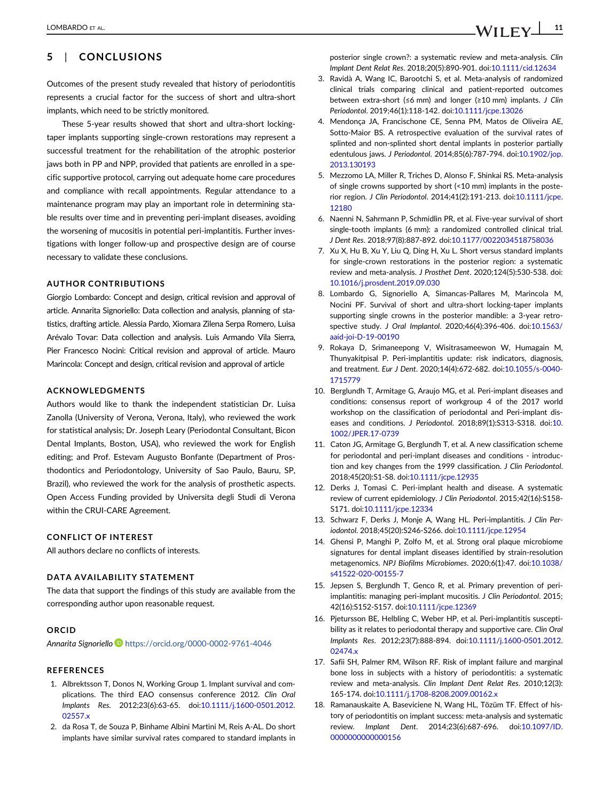### <span id="page-10-0"></span>5 | CONCLUSIONS

Outcomes of the present study revealed that history of periodontitis represents a crucial factor for the success of short and ultra-short implants, which need to be strictly monitored.

These 5-year results showed that short and ultra-short lockingtaper implants supporting single-crown restorations may represent a successful treatment for the rehabilitation of the atrophic posterior jaws both in PP and NPP, provided that patients are enrolled in a specific supportive protocol, carrying out adequate home care procedures and compliance with recall appointments. Regular attendance to a maintenance program may play an important role in determining stable results over time and in preventing peri-implant diseases, avoiding the worsening of mucositis in potential peri-implantitis. Further investigations with longer follow-up and prospective design are of course necessary to validate these conclusions.

### AUTHOR CONTRIBUTIONS

Giorgio Lombardo: Concept and design, critical revision and approval of article. Annarita Signoriello: Data collection and analysis, planning of statistics, drafting article. Alessia Pardo, Xiomara Zilena Serpa Romero, Luisa Arévalo Tovar: Data collection and analysis. Luis Armando Vila Sierra, Pier Francesco Nocini: Critical revision and approval of article. Mauro Marincola: Concept and design, critical revision and approval of article

### ACKNOWLEDGMENTS

Authors would like to thank the independent statistician Dr. Luisa Zanolla (University of Verona, Verona, Italy), who reviewed the work for statistical analysis; Dr. Joseph Leary (Periodontal Consultant, Bicon Dental Implants, Boston, USA), who reviewed the work for English editing; and Prof. Estevam Augusto Bonfante (Department of Prosthodontics and Periodontology, University of Sao Paulo, Bauru, SP, Brazil), who reviewed the work for the analysis of prosthetic aspects. Open Access Funding provided by Universita degli Studi di Verona within the CRUI-CARE Agreement.

### CONFLICT OF INTEREST

All authors declare no conflicts of interests.

### DATA AVAILABILITY STATEMENT

The data that support the findings of this study are available from the corresponding author upon reasonable request.

#### **ORCID**

Annarita Signoriello <https://orcid.org/0000-0002-9761-4046>

#### REFERENCES

- 1. Albrektsson T, Donos N, Working Group 1. Implant survival and complications. The third EAO consensus conference 2012. Clin Oral Implants Res. 2012;23(6):63-65. doi[:10.1111/j.1600-0501.2012.](info:doi/10.1111/j.1600-0501.2012.02557.x) [02557.x](info:doi/10.1111/j.1600-0501.2012.02557.x)
- 2. da Rosa T, de Souza P, Binhame Albini Martini M, Reis A-AL. Do short implants have similar survival rates compared to standard implants in

posterior single crown?: a systematic review and meta-analysis. Clin Implant Dent Relat Res. 2018;20(5):890-901. doi:[10.1111/cid.12634](info:doi/10.1111/cid.12634)

- 3. Ravidà A, Wang IC, Barootchi S, et al. Meta-analysis of randomized clinical trials comparing clinical and patient-reported outcomes between extra-short (≤6 mm) and longer (≥10 mm) implants. J Clin Periodontol. 2019;46(1):118-142. doi[:10.1111/jcpe.13026](info:doi/10.1111/jcpe.13026)
- 4. Mendonça JA, Francischone CE, Senna PM, Matos de Oliveira AE, Sotto-Maior BS. A retrospective evaluation of the survival rates of splinted and non-splinted short dental implants in posterior partially edentulous jaws. J Periodontol. 2014;85(6):787-794. doi:[10.1902/jop.](info:doi/10.1902/jop.2013.130193) [2013.130193](info:doi/10.1902/jop.2013.130193)
- 5. Mezzomo LA, Miller R, Triches D, Alonso F, Shinkai RS. Meta-analysis of single crowns supported by short (<10 mm) implants in the posterior region. J Clin Periodontol. 2014;41(2):191-213. doi:[10.1111/jcpe.](info:doi/10.1111/jcpe.12180) [12180](info:doi/10.1111/jcpe.12180)
- 6. Naenni N, Sahrmann P, Schmidlin PR, et al. Five-year survival of short single-tooth implants (6 mm): a randomized controlled clinical trial. J Dent Res. 2018;97(8):887-892. doi:[10.1177/0022034518758036](info:doi/10.1177/0022034518758036)
- 7. Xu X, Hu B, Xu Y, Liu Q, Ding H, Xu L. Short versus standard implants for single-crown restorations in the posterior region: a systematic review and meta-analysis. J Prosthet Dent. 2020;124(5):530-538. doi: [10.1016/j.prosdent.2019.09.030](info:doi/10.1016/j.prosdent.2019.09.030)
- 8. Lombardo G, Signoriello A, Simancas-Pallares M, Marincola M, Nocini PF. Survival of short and ultra-short locking-taper implants supporting single crowns in the posterior mandible: a 3-year retrospective study. J Oral Implantol. 2020;46(4):396-406. doi:[10.1563/](info:doi/10.1563/aaid-joi-D-19-00190) [aaid-joi-D-19-00190](info:doi/10.1563/aaid-joi-D-19-00190)
- 9. Rokaya D, Srimaneepong V, Wisitrasameewon W, Humagain M, Thunyakitpisal P. Peri-implantitis update: risk indicators, diagnosis, and treatment. Eur J Dent. 2020;14(4):672-682. doi:[10.1055/s-0040-](info:doi/10.1055/s-0040-1715779) [1715779](info:doi/10.1055/s-0040-1715779)
- 10. Berglundh T, Armitage G, Araujo MG, et al. Peri-implant diseases and conditions: consensus report of workgroup 4 of the 2017 world workshop on the classification of periodontal and Peri-implant dis-eases and conditions. J Periodontol. 2018;89(1):S313-S318. doi[:10.](info:doi/10.1002/JPER.17-0739) [1002/JPER.17-0739](info:doi/10.1002/JPER.17-0739)
- 11. Caton JG, Armitage G, Berglundh T, et al. A new classification scheme for periodontal and peri-implant diseases and conditions - introduction and key changes from the 1999 classification. J Clin Periodontol. 2018;45(20):S1-S8. doi:[10.1111/jcpe.12935](info:doi/10.1111/jcpe.12935)
- 12. Derks J, Tomasi C. Peri-implant health and disease. A systematic review of current epidemiology. J Clin Periodontol. 2015;42(16):S158- S171. doi[:10.1111/jcpe.12334](info:doi/10.1111/jcpe.12334)
- 13. Schwarz F, Derks J, Monje A, Wang HL. Peri-implantitis. J Clin Periodontol. 2018;45(20):S246-S266. doi[:10.1111/jcpe.12954](info:doi/10.1111/jcpe.12954)
- 14. Ghensi P, Manghi P, Zolfo M, et al. Strong oral plaque microbiome signatures for dental implant diseases identified by strain-resolution metagenomics. NPJ Biofilms Microbiomes. 2020;6(1):47. doi:[10.1038/](info:doi/10.1038/s41522-020-00155-7) [s41522-020-00155-7](info:doi/10.1038/s41522-020-00155-7)
- 15. Jepsen S, Berglundh T, Genco R, et al. Primary prevention of periimplantitis: managing peri-implant mucositis. J Clin Periodontol. 2015; 42(16):S152-S157. doi[:10.1111/jcpe.12369](info:doi/10.1111/jcpe.12369)
- 16. Pjetursson BE, Helbling C, Weber HP, et al. Peri-implantitis susceptibility as it relates to periodontal therapy and supportive care. Clin Oral Implants Res. 2012;23(7):888-894. doi[:10.1111/j.1600-0501.2012.](info:doi/10.1111/j.1600-0501.2012.02474.x) [02474.x](info:doi/10.1111/j.1600-0501.2012.02474.x)
- 17. Safii SH, Palmer RM, Wilson RF. Risk of implant failure and marginal bone loss in subjects with a history of periodontitis: a systematic review and meta-analysis. Clin Implant Dent Relat Res. 2010;12(3): 165-174. doi:[10.1111/j.1708-8208.2009.00162.x](info:doi/10.1111/j.1708-8208.2009.00162.x)
- 18. Ramanauskaite A, Baseviciene N, Wang HL, Tözüm TF. Effect of history of periodontitis on implant success: meta-analysis and systematic review. Implant Dent. 2014;23(6):687-696. doi[:10.1097/ID.](info:doi/10.1097/ID.0000000000000156) [0000000000000156](info:doi/10.1097/ID.0000000000000156)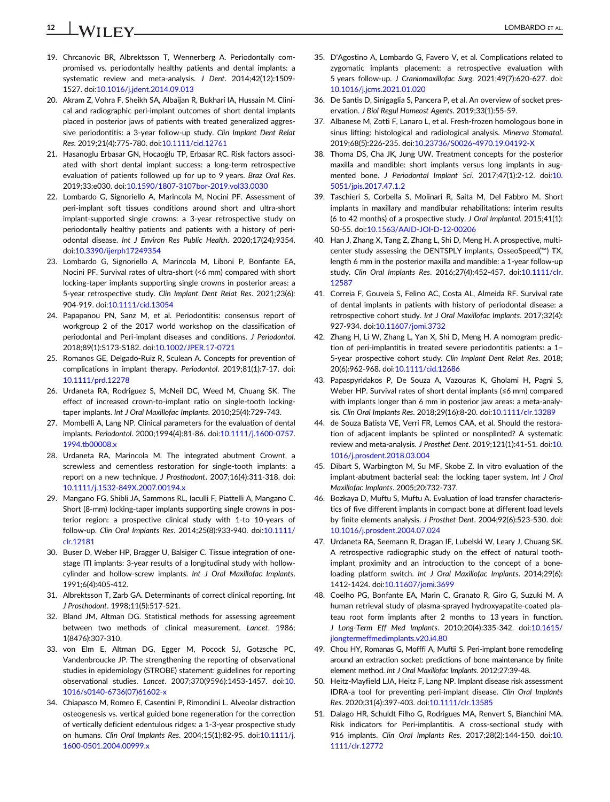## <span id="page-11-0"></span>12 | **IA/II EV** LOMBARDO ET AL.

- 19. Chrcanovic BR, Albrektsson T, Wennerberg A. Periodontally compromised vs. periodontally healthy patients and dental implants: a systematic review and meta-analysis. J Dent. 2014;42(12):1509- 1527. doi[:10.1016/j.jdent.2014.09.013](info:doi/10.1016/j.jdent.2014.09.013)
- 20. Akram Z, Vohra F, Sheikh SA, Albaijan R, Bukhari IA, Hussain M. Clinical and radiographic peri-implant outcomes of short dental implants placed in posterior jaws of patients with treated generalized aggressive periodontitis: a 3-year follow-up study. Clin Implant Dent Relat Res. 2019;21(4):775-780. doi[:10.1111/cid.12761](info:doi/10.1111/cid.12761)
- 21. Hasanoglu Erbasar GN, Hocaoğlu TP, Erbasar RC. Risk factors associated with short dental implant success: a long-term retrospective evaluation of patients followed up for up to 9 years. Braz Oral Res. 2019;33:e030. doi:[10.1590/1807-3107bor-2019.vol33.0030](info:doi/10.1590/1807-3107bor-2019.vol33.0030)
- 22. Lombardo G, Signoriello A, Marincola M, Nocini PF. Assessment of peri-implant soft tissues conditions around short and ultra-short implant-supported single crowns: a 3-year retrospective study on periodontally healthy patients and patients with a history of periodontal disease. Int J Environ Res Public Health. 2020;17(24):9354. doi:[10.3390/ijerph17249354](info:doi/10.3390/ijerph17249354)
- 23. Lombardo G, Signoriello A, Marincola M, Liboni P, Bonfante EA, Nocini PF. Survival rates of ultra-short (<6 mm) compared with short locking-taper implants supporting single crowns in posterior areas: a 5-year retrospective study. Clin Implant Dent Relat Res. 2021;23(6): 904-919. doi:[10.1111/cid.13054](info:doi/10.1111/cid.13054)
- 24. Papapanou PN, Sanz M, et al. Periodontitis: consensus report of workgroup 2 of the 2017 world workshop on the classification of periodontal and Peri-implant diseases and conditions. J Periodontol. 2018;89(1):S173-S182. doi:[10.1002/JPER.17-0721](info:doi/10.1002/JPER.17-0721)
- 25. Romanos GE, Delgado-Ruiz R, Sculean A. Concepts for prevention of complications in implant therapy. Periodontol. 2019;81(1):7-17. doi: [10.1111/prd.12278](info:doi/10.1111/prd.12278)
- 26. Urdaneta RA, Rodriguez S, McNeil DC, Weed M, Chuang SK. The effect of increased crown-to-implant ratio on single-tooth lockingtaper implants. Int J Oral Maxillofac Implants. 2010;25(4):729-743.
- 27. Mombelli A, Lang NP. Clinical parameters for the evaluation of dental implants. Periodontol. 2000;1994(4):81-86. doi[:10.1111/j.1600-0757.](info:doi/10.1111/j.1600-0757.1994.tb00008.x) [1994.tb00008.x](info:doi/10.1111/j.1600-0757.1994.tb00008.x)
- 28. Urdaneta RA, Marincola M. The integrated abutment Crownt, a screwless and cementless restoration for single-tooth implants: a report on a new technique. J Prosthodont. 2007;16(4):311-318. doi: [10.1111/j.1532-849X.2007.00194.x](info:doi/10.1111/j.1532-849X.2007.00194.x)
- 29. Mangano FG, Shibli JA, Sammons RL, Iaculli F, Piattelli A, Mangano C. Short (8-mm) locking-taper implants supporting single crowns in posterior region: a prospective clinical study with 1-to 10-years of follow-up. Clin Oral Implants Res. 2014;25(8):933-940. doi[:10.1111/](info:doi/10.1111/clr.12181) [clr.12181](info:doi/10.1111/clr.12181)
- 30. Buser D, Weber HP, Bragger U, Balsiger C. Tissue integration of onestage ITI implants: 3-year results of a longitudinal study with hollowcylinder and hollow-screw implants. Int J Oral Maxillofac Implants. 1991;6(4):405-412.
- 31. Albrektsson T, Zarb GA. Determinants of correct clinical reporting. Int J Prosthodont. 1998;11(5):517-521.
- 32. Bland JM, Altman DG. Statistical methods for assessing agreement between two methods of clinical measurement. Lancet. 1986; 1(8476):307-310.
- 33. von Elm E, Altman DG, Egger M, Pocock SJ, Gotzsche PC, Vandenbroucke JP. The strengthening the reporting of observational studies in epidemiology (STROBE) statement: guidelines for reporting observational studies. Lancet. 2007;370(9596):1453-1457. doi[:10.](info:doi/10.1016/s0140-6736(07)61602-x) [1016/s0140-6736\(07\)61602-x](info:doi/10.1016/s0140-6736(07)61602-x)
- 34. Chiapasco M, Romeo E, Casentini P, Rimondini L. Alveolar distraction osteogenesis vs. vertical guided bone regeneration for the correction of vertically deficient edentulous ridges: a 1-3-year prospective study on humans. Clin Oral Implants Res. 2004;15(1):82-95. doi:[10.1111/j.](info:doi/10.1111/j.1600-0501.2004.00999.x) [1600-0501.2004.00999.x](info:doi/10.1111/j.1600-0501.2004.00999.x)
- 35. D'Agostino A, Lombardo G, Favero V, et al. Complications related to zygomatic implants placement: a retrospective evaluation with 5 years follow-up. J Craniomaxillofac Surg. 2021;49(7):620-627. doi: [10.1016/j.jcms.2021.01.020](info:doi/10.1016/j.jcms.2021.01.020)
- 36. De Santis D, Sinigaglia S, Pancera P, et al. An overview of socket preservation. J Biol Regul Homeost Agents. 2019;33(1):55-59.
- 37. Albanese M, Zotti F, Lanaro L, et al. Fresh-frozen homologous bone in sinus lifting: histological and radiological analysis. Minerva Stomatol. 2019;68(5):226-235. doi:[10.23736/S0026-4970.19.04192-X](info:doi/10.23736/S0026-4970.19.04192-X)
- 38. Thoma DS, Cha JK, Jung UW. Treatment concepts for the posterior maxilla and mandible: short implants versus long implants in augmented bone. J Periodontal Implant Sci. 2017;47(1):2-12. doi[:10.](info:doi/10.5051/jpis.2017.47.1.2) [5051/jpis.2017.47.1.2](info:doi/10.5051/jpis.2017.47.1.2)
- 39. Taschieri S, Corbella S, Molinari R, Saita M, Del Fabbro M. Short implants in maxillary and mandibular rehabilitations: interim results (6 to 42 months) of a prospective study. J Oral Implantol. 2015;41(1): 50-55. doi[:10.1563/AAID-JOI-D-12-00206](info:doi/10.1563/AAID-JOI-D-12-00206)
- 40. Han J, Zhang X, Tang Z, Zhang L, Shi D, Meng H. A prospective, multicenter study assessing the DENTSPLY implants, OsseoSpeed(™) TX, length 6 mm in the posterior maxilla and mandible: a 1-year follow-up study. Clin Oral Implants Res. 2016;27(4):452-457. doi[:10.1111/clr.](info:doi/10.1111/clr.12587) [12587](info:doi/10.1111/clr.12587)
- 41. Correia F, Gouveia S, Felino AC, Costa AL, Almeida RF. Survival rate of dental implants in patients with history of periodontal disease: a retrospective cohort study. Int J Oral Maxillofac Implants. 2017;32(4): 927-934. doi:[10.11607/jomi.3732](info:doi/10.11607/jomi.3732)
- 42. Zhang H, Li W, Zhang L, Yan X, Shi D, Meng H. A nomogram prediction of peri-implantitis in treated severe periodontitis patients: a 1– 5-year prospective cohort study. Clin Implant Dent Relat Res. 2018; 20(6):962-968. doi:[10.1111/cid.12686](info:doi/10.1111/cid.12686)
- 43. Papaspyridakos P, De Souza A, Vazouras K, Gholami H, Pagni S, Weber HP. Survival rates of short dental implants (≤6 mm) compared with implants longer than 6 mm in posterior jaw areas: a meta-analysis. Clin Oral Implants Res. 2018;29(16):8-20. doi:[10.1111/clr.13289](info:doi/10.1111/clr.13289)
- 44. de Souza Batista VE, Verri FR, Lemos CAA, et al. Should the restoration of adjacent implants be splinted or nonsplinted? A systematic review and meta-analysis. J Prosthet Dent. 2019;121(1):41-51. doi[:10.](info:doi/10.1016/j.prosdent.2018.03.004) [1016/j.prosdent.2018.03.004](info:doi/10.1016/j.prosdent.2018.03.004)
- 45. Dibart S, Warbington M, Su MF, Skobe Z. In vitro evaluation of the implant-abutment bacterial seal: the locking taper system. Int J Oral Maxillofac Implants. 2005;20:732-737.
- 46. Bozkaya D, Muftu S, Muftu A. Evaluation of load transfer characteristics of five different implants in compact bone at different load levels by finite elements analysis. J Prosthet Dent. 2004;92(6):523-530. doi: [10.1016/j.prosdent.2004.07.024](info:doi/10.1016/j.prosdent.2004.07.024)
- 47. Urdaneta RA, Seemann R, Dragan IF, Lubelski W, Leary J, Chuang SK. A retrospective radiographic study on the effect of natural toothimplant proximity and an introduction to the concept of a boneloading platform switch. Int J Oral Maxillofac Implants. 2014;29(6): 1412-1424. doi:[10.11607/jomi.3699](info:doi/10.11607/jomi.3699)
- 48. Coelho PG, Bonfante EA, Marin C, Granato R, Giro G, Suzuki M. A human retrieval study of plasma-sprayed hydroxyapatite-coated plateau root form implants after 2 months to 13 years in function. J Long-Term Eff Med Implants. 2010;20(4):335-342. doi:[10.1615/](info:doi/10.1615/jlongtermeffmedimplants.v20.i4.80) [jlongtermeffmedimplants.v20.i4.80](info:doi/10.1615/jlongtermeffmedimplants.v20.i4.80)
- 49. Chou HY, Romanas G, Mofffi A, Muftii S. Peri-implant bone remodeling around an extraction socket: predictions of bone maintenance by finite element method. Int J Oral Maxillofac Implants. 2012;27:39-48.
- 50. Heitz-Mayfield LJA, Heitz F, Lang NP. Implant disease risk assessment IDRA-a tool for preventing peri-implant disease. Clin Oral Implants Res. 2020;31(4):397-403. doi[:10.1111/clr.13585](info:doi/10.1111/clr.13585)
- 51. Dalago HR, Schuldt Filho G, Rodrigues MA, Renvert S, Bianchini MA. Risk indicators for Peri-implantitis. A cross-sectional study with 916 implants. Clin Oral Implants Res. 2017;28(2):144-150. doi[:10.](info:doi/10.1111/clr.12772) [1111/clr.12772](info:doi/10.1111/clr.12772)